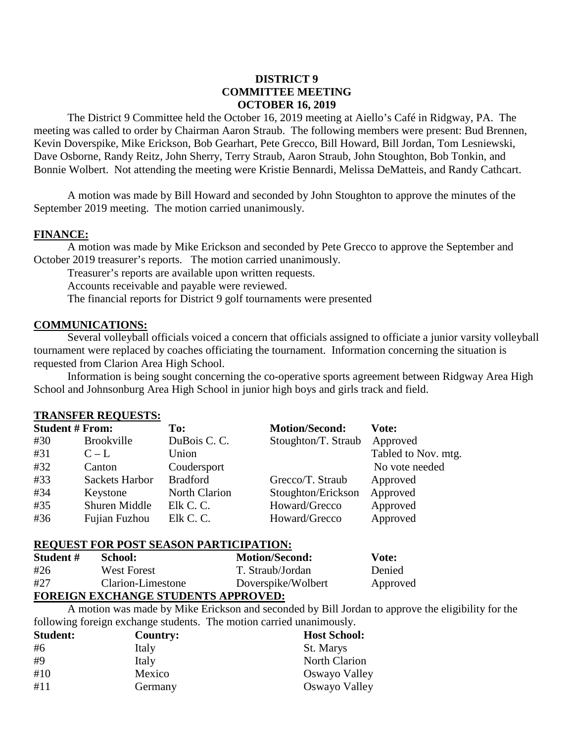# **DISTRICT 9 COMMITTEE MEETING OCTOBER 16, 2019**

The District 9 Committee held the October 16, 2019 meeting at Aiello's Café in Ridgway, PA. The meeting was called to order by Chairman Aaron Straub. The following members were present: Bud Brennen, Kevin Doverspike, Mike Erickson, Bob Gearhart, Pete Grecco, Bill Howard, Bill Jordan, Tom Lesniewski, Dave Osborne, Randy Reitz, John Sherry, Terry Straub, Aaron Straub, John Stoughton, Bob Tonkin, and Bonnie Wolbert. Not attending the meeting were Kristie Bennardi, Melissa DeMatteis, and Randy Cathcart.

A motion was made by Bill Howard and seconded by John Stoughton to approve the minutes of the September 2019 meeting. The motion carried unanimously.

## **FINANCE:**

A motion was made by Mike Erickson and seconded by Pete Grecco to approve the September and October 2019 treasurer's reports. The motion carried unanimously.

Treasurer's reports are available upon written requests.

Accounts receivable and payable were reviewed.

The financial reports for District 9 golf tournaments were presented

## **COMMUNICATIONS:**

Several volleyball officials voiced a concern that officials assigned to officiate a junior varsity volleyball tournament were replaced by coaches officiating the tournament. Information concerning the situation is requested from Clarion Area High School.

Information is being sought concerning the co-operative sports agreement between Ridgway Area High School and Johnsonburg Area High School in junior high boys and girls track and field.

## **TRANSFER REQUESTS:**

| <b>Student # From:</b> |                       | To:                  | <b>Motion/Second:</b> | Vote:               |
|------------------------|-----------------------|----------------------|-----------------------|---------------------|
| #30                    | <b>Brookville</b>     | DuBois C.C.          | Stoughton/T. Straub   | Approved            |
| #31                    | $C - L$               | Union                |                       | Tabled to Nov. mtg. |
| #32                    | Canton                | Coudersport          |                       | No vote needed      |
| #33                    | <b>Sackets Harbor</b> | <b>Bradford</b>      | Grecco/T. Straub      | Approved            |
| #34                    | Keystone              | <b>North Clarion</b> | Stoughton/Erickson    | Approved            |
| #35                    | Shuren Middle         | Elk C. C.            | Howard/Grecco         | Approved            |
| #36                    | Fujian Fuzhou         | Elk C. C.            | Howard/Grecco         | Approved            |

## **REQUEST FOR POST SEASON PARTICIPATION:**

| Student # | School:           | <b>Motion/Second:</b> | Vote:    |
|-----------|-------------------|-----------------------|----------|
| #26       | West Forest       | T. Straub/Jordan      | Denied   |
| #27       | Clarion-Limestone | Doverspike/Wolbert    | Approved |

## **FOREIGN EXCHANGE STUDENTS APPROVED:**

A motion was made by Mike Erickson and seconded by Bill Jordan to approve the eligibility for the following foreign exchange students. The motion carried unanimously.

| <b>Student:</b> | Country: | <b>Host School:</b>  |
|-----------------|----------|----------------------|
| #6              | Italy    | St. Marys            |
| #9              | Italy    | <b>North Clarion</b> |
| #10             | Mexico   | Oswayo Valley        |
| #11             | Germany  | Oswayo Valley        |